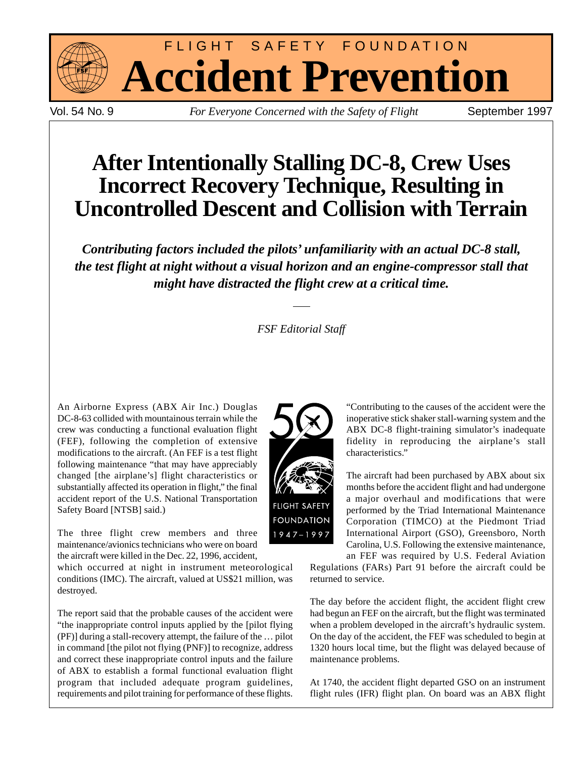

FLIGHT SAFETY FOUNDATION **Accident Prevention**

Vol. 54 No. 9 *For Everyone Concerned with the Safety of Flight* September 1997

# **After Intentionally Stalling DC-8, Crew Uses Incorrect Recovery Technique, Resulting in Uncontrolled Descent and Collision with Terrain**

*Contributing factors included the pilots' unfamiliarity with an actual DC-8 stall, the test flight at night without a visual horizon and an engine-compressor stall that might have distracted the flight crew at a critical time.*

*FSF Editorial Staff*

An Airborne Express (ABX Air Inc.) Douglas DC-8-63 collided with mountainous terrain while the crew was conducting a functional evaluation flight (FEF), following the completion of extensive modifications to the aircraft. (An FEF is a test flight following maintenance "that may have appreciably changed [the airplane's] flight characteristics or substantially affected its operation in flight," the final accident report of the U.S. National Transportation Safety Board [NTSB] said.)

The three flight crew members and three maintenance/avionics technicians who were on board the aircraft were killed in the Dec. 22, 1996, accident,

which occurred at night in instrument meteorological conditions (IMC). The aircraft, valued at US\$21 million, was destroyed.

The report said that the probable causes of the accident were "the inappropriate control inputs applied by the [pilot flying (PF)] during a stall-recovery attempt, the failure of the … pilot in command [the pilot not flying (PNF)] to recognize, address and correct these inappropriate control inputs and the failure of ABX to establish a formal functional evaluation flight program that included adequate program guidelines, requirements and pilot training for performance of these flights.



"Contributing to the causes of the accident were the inoperative stick shaker stall-warning system and the ABX DC-8 flight-training simulator's inadequate fidelity in reproducing the airplane's stall characteristics."

The aircraft had been purchased by ABX about six months before the accident flight and had undergone a major overhaul and modifications that were performed by the Triad International Maintenance Corporation (TIMCO) at the Piedmont Triad International Airport (GSO), Greensboro, North Carolina, U.S. Following the extensive maintenance,

an FEF was required by U.S. Federal Aviation Regulations (FARs) Part 91 before the aircraft could be returned to service.

The day before the accident flight, the accident flight crew had begun an FEF on the aircraft, but the flight was terminated when a problem developed in the aircraft's hydraulic system. On the day of the accident, the FEF was scheduled to begin at 1320 hours local time, but the flight was delayed because of maintenance problems.

At 1740, the accident flight departed GSO on an instrument flight rules (IFR) flight plan. On board was an ABX flight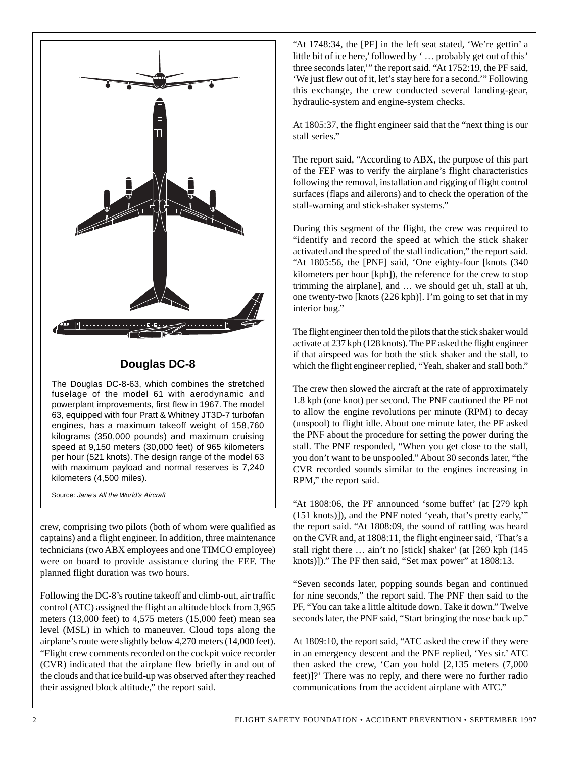

# **Douglas DC-8**

The Douglas DC-8-63, which combines the stretched fuselage of the model 61 with aerodynamic and powerplant improvements, first flew in 1967. The model 63, equipped with four Pratt & Whitney JT3D-7 turbofan engines, has a maximum takeoff weight of 158,760 kilograms (350,000 pounds) and maximum cruising speed at 9,150 meters (30,000 feet) of 965 kilometers per hour (521 knots). The design range of the model 63 with maximum payload and normal reserves is 7,240 kilometers (4,500 miles).

Source: Jane's All the World's Aircraft

crew, comprising two pilots (both of whom were qualified as captains) and a flight engineer. In addition, three maintenance technicians (two ABX employees and one TIMCO employee) were on board to provide assistance during the FEF. The planned flight duration was two hours.

Following the DC-8's routine takeoff and climb-out, air traffic control (ATC) assigned the flight an altitude block from 3,965 meters (13,000 feet) to 4,575 meters (15,000 feet) mean sea level (MSL) in which to maneuver. Cloud tops along the airplane's route were slightly below 4,270 meters (14,000 feet). "Flight crew comments recorded on the cockpit voice recorder (CVR) indicated that the airplane flew briefly in and out of the clouds and that ice build-up was observed after they reached their assigned block altitude," the report said.

"At 1748:34, the [PF] in the left seat stated, 'We're gettin' a little bit of ice here,' followed by ' … probably get out of this' three seconds later,'" the report said. "At 1752:19, the PF said, 'We just flew out of it, let's stay here for a second.'" Following this exchange, the crew conducted several landing-gear, hydraulic-system and engine-system checks.

At 1805:37, the flight engineer said that the "next thing is our stall series."

The report said, "According to ABX, the purpose of this part of the FEF was to verify the airplane's flight characteristics following the removal, installation and rigging of flight control surfaces (flaps and ailerons) and to check the operation of the stall-warning and stick-shaker systems."

During this segment of the flight, the crew was required to "identify and record the speed at which the stick shaker activated and the speed of the stall indication," the report said. "At 1805:56, the [PNF] said, 'One eighty-four [knots (340 kilometers per hour [kph]), the reference for the crew to stop trimming the airplane], and … we should get uh, stall at uh, one twenty-two [knots (226 kph)]. I'm going to set that in my interior bug."

The flight engineer then told the pilots that the stick shaker would activate at 237 kph (128 knots). The PF asked the flight engineer if that airspeed was for both the stick shaker and the stall, to which the flight engineer replied, "Yeah, shaker and stall both."

The crew then slowed the aircraft at the rate of approximately 1.8 kph (one knot) per second. The PNF cautioned the PF not to allow the engine revolutions per minute (RPM) to decay (unspool) to flight idle. About one minute later, the PF asked the PNF about the procedure for setting the power during the stall. The PNF responded, "When you get close to the stall, you don't want to be unspooled." About 30 seconds later, "the CVR recorded sounds similar to the engines increasing in RPM," the report said.

"At 1808:06, the PF announced 'some buffet' (at [279 kph (151 knots)]), and the PNF noted 'yeah, that's pretty early,'" the report said. "At 1808:09, the sound of rattling was heard on the CVR and, at 1808:11, the flight engineer said, 'That's a stall right there … ain't no [stick] shaker' (at [269 kph (145 knots)])." The PF then said, "Set max power" at 1808:13.

"Seven seconds later, popping sounds began and continued for nine seconds," the report said. The PNF then said to the PF, "You can take a little altitude down. Take it down." Twelve seconds later, the PNF said, "Start bringing the nose back up."

At 1809:10, the report said, "ATC asked the crew if they were in an emergency descent and the PNF replied, 'Yes sir.' ATC then asked the crew, 'Can you hold [2,135 meters (7,000 feet)]?' There was no reply, and there were no further radio communications from the accident airplane with ATC."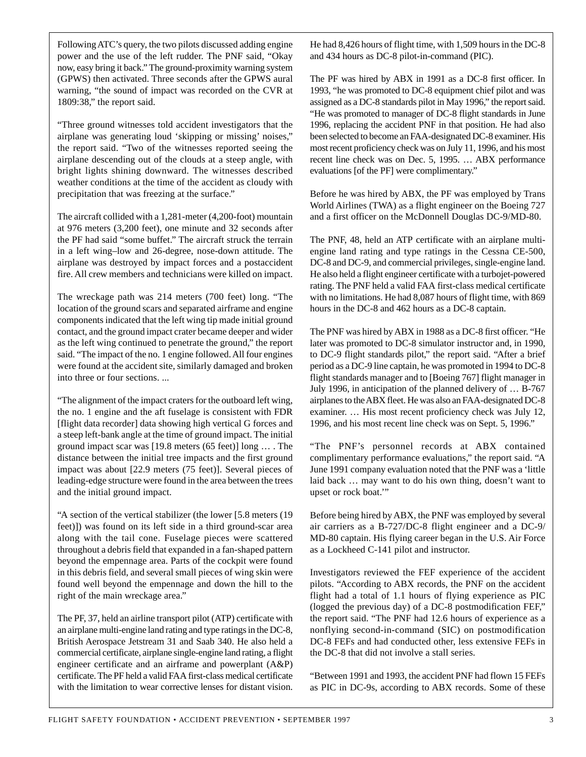Following ATC's query, the two pilots discussed adding engine power and the use of the left rudder. The PNF said, "Okay now, easy bring it back." The ground-proximity warning system (GPWS) then activated. Three seconds after the GPWS aural warning, "the sound of impact was recorded on the CVR at 1809:38," the report said.

"Three ground witnesses told accident investigators that the airplane was generating loud 'skipping or missing' noises," the report said. "Two of the witnesses reported seeing the airplane descending out of the clouds at a steep angle, with bright lights shining downward. The witnesses described weather conditions at the time of the accident as cloudy with precipitation that was freezing at the surface."

The aircraft collided with a 1,281-meter (4,200-foot) mountain at 976 meters (3,200 feet), one minute and 32 seconds after the PF had said "some buffet." The aircraft struck the terrain in a left wing–low and 26-degree, nose-down attitude. The airplane was destroyed by impact forces and a postaccident fire. All crew members and technicians were killed on impact.

The wreckage path was 214 meters (700 feet) long. "The location of the ground scars and separated airframe and engine components indicated that the left wing tip made initial ground contact, and the ground impact crater became deeper and wider as the left wing continued to penetrate the ground," the report said. "The impact of the no. 1 engine followed. All four engines were found at the accident site, similarly damaged and broken into three or four sections. ...

"The alignment of the impact craters for the outboard left wing, the no. 1 engine and the aft fuselage is consistent with FDR [flight data recorder] data showing high vertical G forces and a steep left-bank angle at the time of ground impact. The initial ground impact scar was [19.8 meters (65 feet)] long … . The distance between the initial tree impacts and the first ground impact was about [22.9 meters (75 feet)]. Several pieces of leading-edge structure were found in the area between the trees and the initial ground impact.

"A section of the vertical stabilizer (the lower [5.8 meters (19 feet)]) was found on its left side in a third ground-scar area along with the tail cone. Fuselage pieces were scattered throughout a debris field that expanded in a fan-shaped pattern beyond the empennage area. Parts of the cockpit were found in this debris field, and several small pieces of wing skin were found well beyond the empennage and down the hill to the right of the main wreckage area."

The PF, 37, held an airline transport pilot (ATP) certificate with an airplane multi-engine land rating and type ratings in the DC-8, British Aerospace Jetstream 31 and Saab 340. He also held a commercial certificate, airplane single-engine land rating, a flight engineer certificate and an airframe and powerplant (A&P) certificate. The PF held a valid FAA first-class medical certificate with the limitation to wear corrective lenses for distant vision.

He had 8,426 hours of flight time, with 1,509 hours in the DC-8 and 434 hours as DC-8 pilot-in-command (PIC).

The PF was hired by ABX in 1991 as a DC-8 first officer. In 1993, "he was promoted to DC-8 equipment chief pilot and was assigned as a DC-8 standards pilot in May 1996," the report said. "He was promoted to manager of DC-8 flight standards in June 1996, replacing the accident PNF in that position. He had also been selected to become an FAA-designated DC-8 examiner. His most recent proficiency check was on July 11, 1996, and his most recent line check was on Dec. 5, 1995. … ABX performance evaluations [of the PF] were complimentary."

Before he was hired by ABX, the PF was employed by Trans World Airlines (TWA) as a flight engineer on the Boeing 727 and a first officer on the McDonnell Douglas DC-9/MD-80.

The PNF, 48, held an ATP certificate with an airplane multiengine land rating and type ratings in the Cessna CE-500, DC-8 and DC-9, and commercial privileges, single-engine land. He also held a flight engineer certificate with a turbojet-powered rating. The PNF held a valid FAA first-class medical certificate with no limitations. He had 8,087 hours of flight time, with 869 hours in the DC-8 and 462 hours as a DC-8 captain.

The PNF was hired by ABX in 1988 as a DC-8 first officer. "He later was promoted to DC-8 simulator instructor and, in 1990, to DC-9 flight standards pilot," the report said. "After a brief period as a DC-9 line captain, he was promoted in 1994 to DC-8 flight standards manager and to [Boeing 767] flight manager in July 1996, in anticipation of the planned delivery of … B-767 airplanes to the ABX fleet. He was also an FAA-designated DC-8 examiner. … His most recent proficiency check was July 12, 1996, and his most recent line check was on Sept. 5, 1996."

"The PNF's personnel records at ABX contained complimentary performance evaluations," the report said. "A June 1991 company evaluation noted that the PNF was a 'little laid back … may want to do his own thing, doesn't want to upset or rock boat.'"

Before being hired by ABX, the PNF was employed by several air carriers as a B-727/DC-8 flight engineer and a DC-9/ MD-80 captain. His flying career began in the U.S. Air Force as a Lockheed C-141 pilot and instructor.

Investigators reviewed the FEF experience of the accident pilots. "According to ABX records, the PNF on the accident flight had a total of 1.1 hours of flying experience as PIC (logged the previous day) of a DC-8 postmodification FEF," the report said. "The PNF had 12.6 hours of experience as a nonflying second-in-command (SIC) on postmodification DC-8 FEFs and had conducted other, less extensive FEFs in the DC-8 that did not involve a stall series.

"Between 1991 and 1993, the accident PNF had flown 15 FEFs as PIC in DC-9s, according to ABX records. Some of these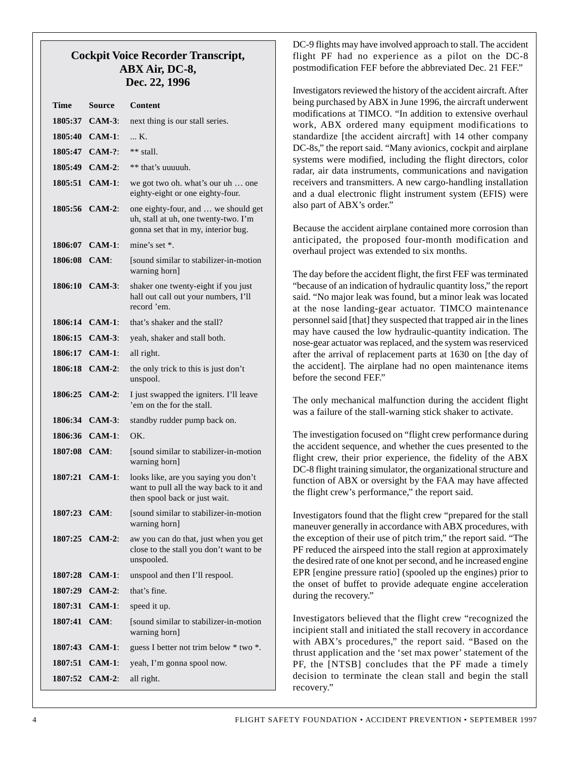## **Cockpit Voice Recorder Transcript, ABX Air, DC-8, Dec. 22, 1996**

| Time         | Source           | Content                                                                                                            |
|--------------|------------------|--------------------------------------------------------------------------------------------------------------------|
| 1805:37      | $CAM-3:$         | next thing is our stall series.                                                                                    |
|              | 1805:40 CAM-1:   | K.                                                                                                                 |
| 1805:47      | $CAM-?$          | $**$ stall.                                                                                                        |
| 1805:49      | $CAM-2:$         | ** that's uuuuuh.                                                                                                  |
| 1805:51      | $CAM-1$ :        | we got two oh. what's our uh  one<br>eighty-eight or one eighty-four.                                              |
|              | 1805:56 CAM-2:   | one eighty-four, and  we should get<br>uh, stall at uh, one twenty-two. I'm<br>gonna set that in my, interior bug. |
|              | 1806:07 CAM-1:   | mine's set $*$ .                                                                                                   |
| 1806:08 CAM: |                  | [sound similar to stabilizer-in-motion]<br>warning horn]                                                           |
|              | 1806:10 CAM-3:   | shaker one twenty-eight if you just<br>hall out call out your numbers, I'll<br>record 'em.                         |
|              | 1806:14 CAM-1:   | that's shaker and the stall?                                                                                       |
| 1806:15      | $CAM-3:$         | yeah, shaker and stall both.                                                                                       |
| 1806:17      | $CAM-1$ :        | all right.                                                                                                         |
|              | 1806:18 CAM-2:   | the only trick to this is just don't<br>unspool.                                                                   |
|              | 1806:25 CAM-2:   | I just swapped the igniters. I'll leave<br>'em on the for the stall.                                               |
|              | 1806:34 CAM-3:   | standby rudder pump back on.                                                                                       |
| 1806:36      | $CAM-1$ :        | OK.                                                                                                                |
| 1807:08 CAM: |                  | [sound similar to stabilizer-in-motion<br>warning horn]                                                            |
|              | 1807:21 CAM-1:   | looks like, are you saying you don't<br>want to pull all the way back to it and<br>then spool back or just wait.   |
| 1807:23 CAM: |                  | [sound similar to stabilizer-in-motion]<br>warning horn]                                                           |
|              | 1807:25 CAM-2:   | aw you can do that, just when you get<br>close to the stall you don't want to be<br>unspooled.                     |
|              | $1807:28$ CAM-1: | unspool and then I'll respool.                                                                                     |
|              | 1807:29 CAM-2:   | that's fine.                                                                                                       |
|              | 1807:31 CAM-1:   | speed it up.                                                                                                       |
| 1807:41 CAM: |                  | [sound similar to stabilizer-in-motion]<br>warning horn]                                                           |
| 1807:43      | $CAM-1$ :        | guess I better not trim below * two *.                                                                             |
|              | 1807:51 CAM-1:   | yeah, I'm gonna spool now.                                                                                         |
|              | 1807:52 CAM-2:   | all right.                                                                                                         |

DC-9 flights may have involved approach to stall. The accident flight PF had no experience as a pilot on the DC-8 postmodification FEF before the abbreviated Dec. 21 FEF."

Investigators reviewed the history of the accident aircraft. After being purchased by ABX in June 1996, the aircraft underwent modifications at TIMCO. "In addition to extensive overhaul work, ABX ordered many equipment modifications to standardize [the accident aircraft] with 14 other company DC-8s," the report said. "Many avionics, cockpit and airplane systems were modified, including the flight directors, color radar, air data instruments, communications and navigation receivers and transmitters. A new cargo-handling installation and a dual electronic flight instrument system (EFIS) were also part of ABX's order."

Because the accident airplane contained more corrosion than anticipated, the proposed four-month modification and overhaul project was extended to six months.

The day before the accident flight, the first FEF was terminated "because of an indication of hydraulic quantity loss," the report said. "No major leak was found, but a minor leak was located at the nose landing-gear actuator. TIMCO maintenance personnel said [that] they suspected that trapped air in the lines may have caused the low hydraulic-quantity indication. The nose-gear actuator was replaced, and the system was reserviced after the arrival of replacement parts at 1630 on [the day of the accident]. The airplane had no open maintenance items before the second FEF."

The only mechanical malfunction during the accident flight was a failure of the stall-warning stick shaker to activate.

The investigation focused on "flight crew performance during the accident sequence, and whether the cues presented to the flight crew, their prior experience, the fidelity of the ABX DC-8 flight training simulator, the organizational structure and function of ABX or oversight by the FAA may have affected the flight crew's performance," the report said.

Investigators found that the flight crew "prepared for the stall maneuver generally in accordance with ABX procedures, with the exception of their use of pitch trim," the report said. "The PF reduced the airspeed into the stall region at approximately the desired rate of one knot per second, and he increased engine EPR [engine pressure ratio] (spooled up the engines) prior to the onset of buffet to provide adequate engine acceleration during the recovery."

Investigators believed that the flight crew "recognized the incipient stall and initiated the stall recovery in accordance with ABX's procedures," the report said. "Based on the thrust application and the 'set max power' statement of the PF, the [NTSB] concludes that the PF made a timely decision to terminate the clean stall and begin the stall recovery."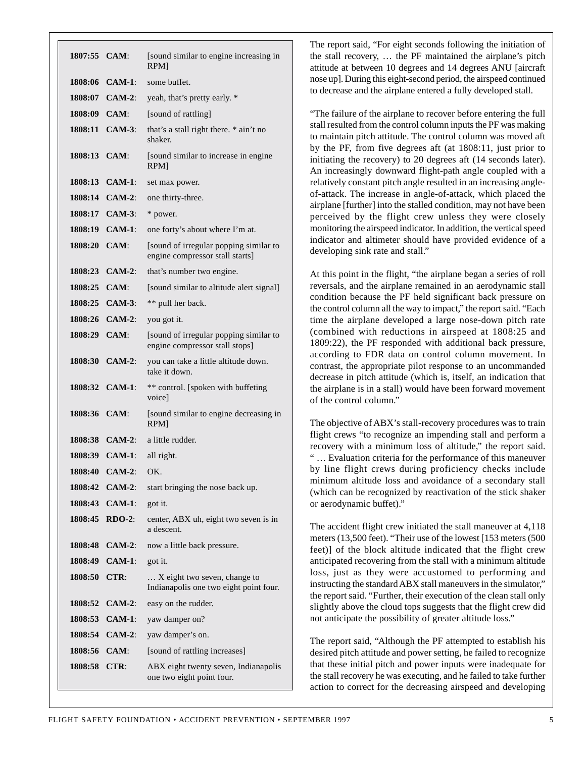| 1807:55 CAM:     |                | [sound similar to engine increasing in<br>RPM]                            |
|------------------|----------------|---------------------------------------------------------------------------|
| 1808:06          | $CAM-1$ :      | some buffet.                                                              |
| 1808:07          | $CAM-2:$       | yeah, that's pretty early. *                                              |
| 1808:09          | CAM:           | [sound of rattling]                                                       |
|                  | 1808:11 CAM-3: | that's a stall right there. * ain't no<br>shaker.                         |
| 1808:13 CAM:     |                | [sound similar to increase in engine]<br>RPM]                             |
| 1808:13          | $CAM-1:$       | set max power.                                                            |
|                  | 1808:14 CAM-2: | one thirty-three.                                                         |
|                  | 1808:17 CAM-3: | * power.                                                                  |
| 1808:19          | $CAM-1$ :      | one forty's about where I'm at.                                           |
| $1808:20$ $CAM:$ |                | [sound of irregular popping similar to<br>engine compressor stall starts] |
| 1808:23          | $CAM-2:$       | that's number two engine.                                                 |
| 1808:25 CAM:     |                | [sound similar to altitude alert signal]                                  |
| 1808:25          | $CAM-3$        | ** pull her back.                                                         |
| 1808:26          | $CAM-2$ :      | you got it.                                                               |
| 1808:29 CAM:     |                | [sound of irregular popping similar to<br>engine compressor stall stops]  |
|                  | 1808:30 CAM-2: | you can take a little altitude down.<br>take it down.                     |
|                  | 1808:32 CAM-1: | ** control. [spoken with buffeting<br>voice]                              |
| 1808:36 CAM:     |                | [sound similar to engine decreasing in<br>RPM]                            |
|                  | 1808:38 CAM-2: | a little rudder.                                                          |
|                  | 1808:39 CAM-1: | all right.                                                                |
|                  | 1808:40 CAM-2: | OK.                                                                       |
| 1808:42          | $CAM-2:$       | start bringing the nose back up.                                          |
| 1808:43          | $CAM-1:$       | got it.                                                                   |
| 1808:45          | $RDO-2$ :      | center, ABX uh, eight two seven is in<br>a descent.                       |
| 1808:48          | $CAM-2:$       | now a little back pressure.                                               |
| 1808:49          | $CAM-1$ :      | got it.                                                                   |
| 1808:50          | CTR:           | X eight two seven, change to<br>Indianapolis one two eight point four.    |
| 1808:52          | $CAM-2$ :      | easy on the rudder.                                                       |
| 1808:53          | <b>CAM-1:</b>  | yaw damper on?                                                            |
| 1808:54          | $CAM-2:$       | yaw damper's on.                                                          |
| 1808:56          | CAM:           | [sound of rattling increases]                                             |
| 1808:58          | $CTR$ :        | ABX eight twenty seven, Indianapolis<br>one two eight point four.         |

The report said, "For eight seconds following the initiation of the stall recovery, … the PF maintained the airplane's pitch attitude at between 10 degrees and 14 degrees ANU [aircraft nose up]. During this eight-second period, the airspeed continued to decrease and the airplane entered a fully developed stall.

"The failure of the airplane to recover before entering the full stall resulted from the control column inputs the PF was making to maintain pitch attitude. The control column was moved aft by the PF, from five degrees aft (at 1808:11, just prior to initiating the recovery) to 20 degrees aft (14 seconds later). An increasingly downward flight-path angle coupled with a relatively constant pitch angle resulted in an increasing angleof-attack. The increase in angle-of-attack, which placed the airplane [further] into the stalled condition, may not have been perceived by the flight crew unless they were closely monitoring the airspeed indicator. In addition, the vertical speed indicator and altimeter should have provided evidence of a developing sink rate and stall."

At this point in the flight, "the airplane began a series of roll reversals, and the airplane remained in an aerodynamic stall condition because the PF held significant back pressure on the control column all the way to impact," the report said. "Each time the airplane developed a large nose-down pitch rate (combined with reductions in airspeed at 1808:25 and 1809:22), the PF responded with additional back pressure, according to FDR data on control column movement. In contrast, the appropriate pilot response to an uncommanded decrease in pitch attitude (which is, itself, an indication that the airplane is in a stall) would have been forward movement of the control column."

The objective of ABX's stall-recovery procedures was to train flight crews "to recognize an impending stall and perform a recovery with a minimum loss of altitude," the report said. " … Evaluation criteria for the performance of this maneuver by line flight crews during proficiency checks include minimum altitude loss and avoidance of a secondary stall (which can be recognized by reactivation of the stick shaker or aerodynamic buffet)."

The accident flight crew initiated the stall maneuver at 4,118 meters (13,500 feet). "Their use of the lowest [153 meters (500 feet)] of the block altitude indicated that the flight crew anticipated recovering from the stall with a minimum altitude loss, just as they were accustomed to performing and instructing the standard ABX stall maneuvers in the simulator," the report said. "Further, their execution of the clean stall only slightly above the cloud tops suggests that the flight crew did not anticipate the possibility of greater altitude loss."

The report said, "Although the PF attempted to establish his desired pitch attitude and power setting, he failed to recognize that these initial pitch and power inputs were inadequate for the stall recovery he was executing, and he failed to take further action to correct for the decreasing airspeed and developing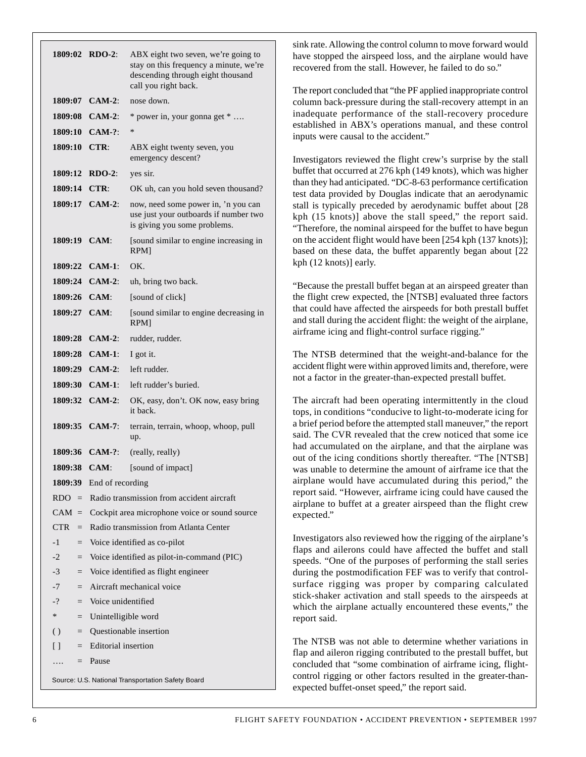| 1809:02 RDO-2:                                    |                                               | ABX eight two seven, we're going to<br>stay on this frequency a minute, we're<br>descending through eight thousand<br>call you right back. |  |  |
|---------------------------------------------------|-----------------------------------------------|--------------------------------------------------------------------------------------------------------------------------------------------|--|--|
|                                                   | 1809:07 CAM-2:                                | nose down.                                                                                                                                 |  |  |
|                                                   | 1809:08 CAM-2:                                | * power in, your gonna get *                                                                                                               |  |  |
|                                                   | $1809:10$ CAM-?:                              | $\ast$                                                                                                                                     |  |  |
| 1809:10 CTR:                                      |                                               | ABX eight twenty seven, you<br>emergency descent?                                                                                          |  |  |
| 1809:12                                           | $RDO-2$ :                                     | yes sir.                                                                                                                                   |  |  |
| 1809:14                                           | CTR:                                          | OK uh, can you hold seven thousand?                                                                                                        |  |  |
|                                                   | 1809:17 CAM-2:                                | now, need some power in, 'n you can<br>use just your outboards if number two<br>is giving you some problems.                               |  |  |
| 1809:19 CAM:                                      |                                               | [sound similar to engine increasing in<br>RPM]                                                                                             |  |  |
|                                                   | 1809:22 CAM-1:                                | OK.                                                                                                                                        |  |  |
|                                                   | 1809:24 CAM-2:                                | uh, bring two back.                                                                                                                        |  |  |
| 1809:26 CAM:                                      |                                               | [sound of click]                                                                                                                           |  |  |
| 1809:27 CAM:                                      |                                               | [sound similar to engine decreasing in<br>RPM]                                                                                             |  |  |
|                                                   | 1809:28 CAM-2:                                | rudder, rudder.                                                                                                                            |  |  |
|                                                   | 1809:28 CAM-1:                                | I got it.                                                                                                                                  |  |  |
|                                                   | 1809:29 CAM-2:                                | left rudder.                                                                                                                               |  |  |
|                                                   | 1809:30 CAM-1:                                | left rudder's buried.                                                                                                                      |  |  |
|                                                   | 1809:32 CAM-2:                                | OK, easy, don't. OK now, easy bring<br>it back.                                                                                            |  |  |
|                                                   | 1809:35 CAM-7:                                | terrain, terrain, whoop, whoop, pull<br>up.                                                                                                |  |  |
|                                                   | 1809:36 CAM-?:                                | (really, really)                                                                                                                           |  |  |
| 1809:38                                           | <b>CAM:</b>                                   | [sound of impact]                                                                                                                          |  |  |
|                                                   | 1809:39 End of recording                      |                                                                                                                                            |  |  |
| $RDO =$                                           |                                               | Radio transmission from accident aircraft                                                                                                  |  |  |
| $CAM =$                                           | Cockpit area microphone voice or sound source |                                                                                                                                            |  |  |
| CTR.<br>$=$                                       | Radio transmission from Atlanta Center        |                                                                                                                                            |  |  |
| $-1$<br>$\qquad \qquad =$                         | Voice identified as co-pilot                  |                                                                                                                                            |  |  |
| $-2$<br>$\quad =$                                 | Voice identified as pilot-in-command (PIC)    |                                                                                                                                            |  |  |
| $-3$<br>$\qquad \qquad =$                         | Voice identified as flight engineer           |                                                                                                                                            |  |  |
| -7<br>$=$                                         |                                               | Aircraft mechanical voice                                                                                                                  |  |  |
| $-2$<br>$=$                                       |                                               | Voice unidentified                                                                                                                         |  |  |
| $\ast$<br>$=$                                     | Unintelligible word                           |                                                                                                                                            |  |  |
| ()<br>$=$                                         | Questionable insertion                        |                                                                                                                                            |  |  |
| $\Box$<br>$=$                                     | Editorial insertion                           |                                                                                                                                            |  |  |
|                                                   | $=$ Pause                                     |                                                                                                                                            |  |  |
| Source: U.S. National Transportation Safety Board |                                               |                                                                                                                                            |  |  |

sink rate. Allowing the control column to move forward would have stopped the airspeed loss, and the airplane would have recovered from the stall. However, he failed to do so."

The report concluded that "the PF applied inappropriate control column back-pressure during the stall-recovery attempt in an inadequate performance of the stall-recovery procedure established in ABX's operations manual, and these control inputs were causal to the accident."

Investigators reviewed the flight crew's surprise by the stall buffet that occurred at 276 kph (149 knots), which was higher than they had anticipated. "DC-8-63 performance certification test data provided by Douglas indicate that an aerodynamic stall is typically preceded by aerodynamic buffet about [28 kph (15 knots)] above the stall speed," the report said. "Therefore, the nominal airspeed for the buffet to have begun on the accident flight would have been [254 kph (137 knots)]; based on these data, the buffet apparently began about [22 kph (12 knots)] early.

"Because the prestall buffet began at an airspeed greater than the flight crew expected, the [NTSB] evaluated three factors that could have affected the airspeeds for both prestall buffet and stall during the accident flight: the weight of the airplane, airframe icing and flight-control surface rigging."

The NTSB determined that the weight-and-balance for the accident flight were within approved limits and, therefore, were not a factor in the greater-than-expected prestall buffet.

The aircraft had been operating intermittently in the cloud tops, in conditions "conducive to light-to-moderate icing for a brief period before the attempted stall maneuver," the report said. The CVR revealed that the crew noticed that some ice had accumulated on the airplane, and that the airplane was out of the icing conditions shortly thereafter. "The [NTSB] was unable to determine the amount of airframe ice that the airplane would have accumulated during this period," the report said. "However, airframe icing could have caused the airplane to buffet at a greater airspeed than the flight crew expected."

Investigators also reviewed how the rigging of the airplane's flaps and ailerons could have affected the buffet and stall speeds. "One of the purposes of performing the stall series during the postmodification FEF was to verify that controlsurface rigging was proper by comparing calculated stick-shaker activation and stall speeds to the airspeeds at which the airplane actually encountered these events," the report said.

The NTSB was not able to determine whether variations in flap and aileron rigging contributed to the prestall buffet, but concluded that "some combination of airframe icing, flightcontrol rigging or other factors resulted in the greater-thanexpected buffet-onset speed," the report said.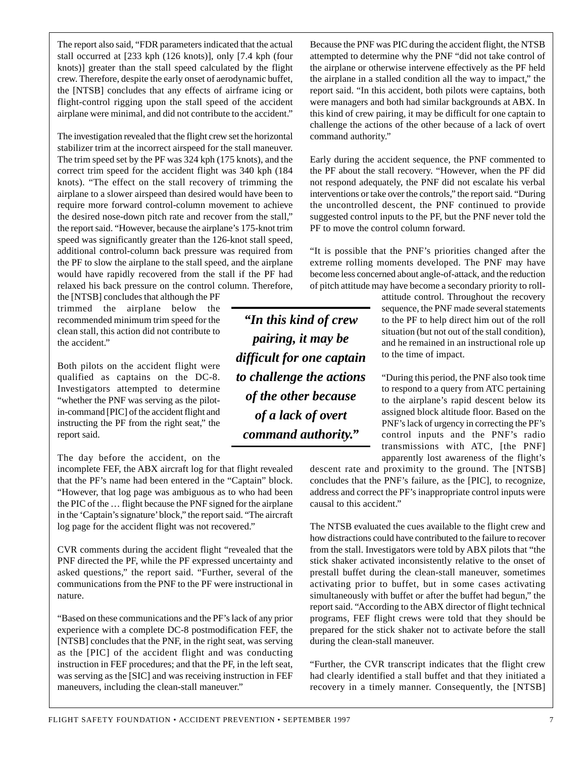The report also said, "FDR parameters indicated that the actual stall occurred at [233 kph (126 knots)], only [7.4 kph (four knots)] greater than the stall speed calculated by the flight crew. Therefore, despite the early onset of aerodynamic buffet, the [NTSB] concludes that any effects of airframe icing or flight-control rigging upon the stall speed of the accident airplane were minimal, and did not contribute to the accident."

The investigation revealed that the flight crew set the horizontal stabilizer trim at the incorrect airspeed for the stall maneuver. The trim speed set by the PF was 324 kph (175 knots), and the correct trim speed for the accident flight was 340 kph (184 knots). "The effect on the stall recovery of trimming the airplane to a slower airspeed than desired would have been to require more forward control-column movement to achieve the desired nose-down pitch rate and recover from the stall," the report said. "However, because the airplane's 175-knot trim speed was significantly greater than the 126-knot stall speed, additional control-column back pressure was required from the PF to slow the airplane to the stall speed, and the airplane would have rapidly recovered from the stall if the PF had relaxed his back pressure on the control column. Therefore,

the [NTSB] concludes that although the PF trimmed the airplane below the recommended minimum trim speed for the clean stall, this action did not contribute to the accident."

Both pilots on the accident flight were qualified as captains on the DC-8. Investigators attempted to determine "whether the PNF was serving as the pilotin-command [PIC] of the accident flight and instructing the PF from the right seat," the report said.

The day before the accident, on the

incomplete FEF, the ABX aircraft log for that flight revealed that the PF's name had been entered in the "Captain" block. "However, that log page was ambiguous as to who had been the PIC of the … flight because the PNF signed for the airplane in the 'Captain's signature' block," the report said. "The aircraft log page for the accident flight was not recovered."

CVR comments during the accident flight "revealed that the PNF directed the PF, while the PF expressed uncertainty and asked questions," the report said. "Further, several of the communications from the PNF to the PF were instructional in nature.

"Based on these communications and the PF's lack of any prior experience with a complete DC-8 postmodification FEF, the [NTSB] concludes that the PNF, in the right seat, was serving as the [PIC] of the accident flight and was conducting instruction in FEF procedures; and that the PF, in the left seat, was serving as the [SIC] and was receiving instruction in FEF maneuvers, including the clean-stall maneuver."

Because the PNF was PIC during the accident flight, the NTSB attempted to determine why the PNF "did not take control of the airplane or otherwise intervene effectively as the PF held the airplane in a stalled condition all the way to impact," the report said. "In this accident, both pilots were captains, both were managers and both had similar backgrounds at ABX. In this kind of crew pairing, it may be difficult for one captain to challenge the actions of the other because of a lack of overt command authority."

Early during the accident sequence, the PNF commented to the PF about the stall recovery. "However, when the PF did not respond adequately, the PNF did not escalate his verbal interventions or take over the controls," the report said. "During the uncontrolled descent, the PNF continued to provide suggested control inputs to the PF, but the PNF never told the PF to move the control column forward.

"It is possible that the PNF's priorities changed after the extreme rolling moments developed. The PNF may have become less concerned about angle-of-attack, and the reduction of pitch attitude may have become a secondary priority to roll-

> attitude control. Throughout the recovery sequence, the PNF made several statements to the PF to help direct him out of the roll situation (but not out of the stall condition), and he remained in an instructional role up to the time of impact.

"During this period, the PNF also took time to respond to a query from ATC pertaining to the airplane's rapid descent below its assigned block altitude floor. Based on the PNF's lack of urgency in correcting the PF's control inputs and the PNF's radio transmissions with ATC, [the PNF] apparently lost awareness of the flight's

descent rate and proximity to the ground. The [NTSB] concludes that the PNF's failure, as the [PIC], to recognize, address and correct the PF's inappropriate control inputs were causal to this accident."

The NTSB evaluated the cues available to the flight crew and how distractions could have contributed to the failure to recover from the stall. Investigators were told by ABX pilots that "the stick shaker activated inconsistently relative to the onset of prestall buffet during the clean-stall maneuver, sometimes activating prior to buffet, but in some cases activating simultaneously with buffet or after the buffet had begun," the report said. "According to the ABX director of flight technical programs, FEF flight crews were told that they should be prepared for the stick shaker not to activate before the stall during the clean-stall maneuver.

"Further, the CVR transcript indicates that the flight crew had clearly identified a stall buffet and that they initiated a recovery in a timely manner. Consequently, the [NTSB]

*pairing, it may be difficult for one captain to challenge the actions of the other because of a lack of overt command authority."*

*"In this kind of crew*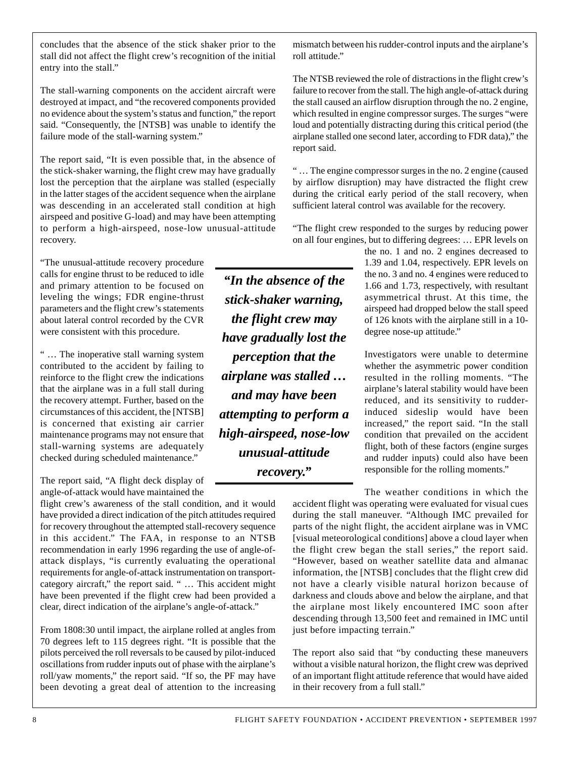concludes that the absence of the stick shaker prior to the stall did not affect the flight crew's recognition of the initial entry into the stall."

The stall-warning components on the accident aircraft were destroyed at impact, and "the recovered components provided no evidence about the system's status and function," the report said. "Consequently, the [NTSB] was unable to identify the failure mode of the stall-warning system."

The report said, "It is even possible that, in the absence of the stick-shaker warning, the flight crew may have gradually lost the perception that the airplane was stalled (especially in the latter stages of the accident sequence when the airplane was descending in an accelerated stall condition at high airspeed and positive G-load) and may have been attempting to perform a high-airspeed, nose-low unusual-attitude recovery.

"The unusual-attitude recovery procedure calls for engine thrust to be reduced to idle and primary attention to be focused on leveling the wings; FDR engine-thrust parameters and the flight crew's statements about lateral control recorded by the CVR were consistent with this procedure.

" … The inoperative stall warning system contributed to the accident by failing to reinforce to the flight crew the indications that the airplane was in a full stall during the recovery attempt. Further, based on the circumstances of this accident, the [NTSB] is concerned that existing air carrier maintenance programs may not ensure that stall-warning systems are adequately checked during scheduled maintenance."

The report said, "A flight deck display of angle-of-attack would have maintained the

flight crew's awareness of the stall condition, and it would have provided a direct indication of the pitch attitudes required for recovery throughout the attempted stall-recovery sequence in this accident." The FAA, in response to an NTSB recommendation in early 1996 regarding the use of angle-ofattack displays, "is currently evaluating the operational requirements for angle-of-attack instrumentation on transportcategory aircraft," the report said. " … This accident might have been prevented if the flight crew had been provided a clear, direct indication of the airplane's angle-of-attack."

From 1808:30 until impact, the airplane rolled at angles from 70 degrees left to 115 degrees right. "It is possible that the pilots perceived the roll reversals to be caused by pilot-induced oscillations from rudder inputs out of phase with the airplane's roll/yaw moments," the report said. "If so, the PF may have been devoting a great deal of attention to the increasing

*"In the absence of the stick-shaker warning, the flight crew may have gradually lost the perception that the airplane was stalled … and may have been attempting to perform a high-airspeed, nose-low unusual-attitude recovery."*

mismatch between his rudder-control inputs and the airplane's roll attitude."

The NTSB reviewed the role of distractions in the flight crew's failure to recover from the stall. The high angle-of-attack during the stall caused an airflow disruption through the no. 2 engine, which resulted in engine compressor surges. The surges "were loud and potentially distracting during this critical period (the airplane stalled one second later, according to FDR data)," the report said.

" … The engine compressor surges in the no. 2 engine (caused by airflow disruption) may have distracted the flight crew during the critical early period of the stall recovery, when sufficient lateral control was available for the recovery.

"The flight crew responded to the surges by reducing power on all four engines, but to differing degrees: … EPR levels on

the no. 1 and no. 2 engines decreased to 1.39 and 1.04, respectively. EPR levels on the no. 3 and no. 4 engines were reduced to 1.66 and 1.73, respectively, with resultant asymmetrical thrust. At this time, the airspeed had dropped below the stall speed of 126 knots with the airplane still in a 10 degree nose-up attitude."

Investigators were unable to determine whether the asymmetric power condition resulted in the rolling moments. "The airplane's lateral stability would have been reduced, and its sensitivity to rudderinduced sideslip would have been increased," the report said. "In the stall condition that prevailed on the accident flight, both of these factors (engine surges and rudder inputs) could also have been responsible for the rolling moments."

The weather conditions in which the accident flight was operating were evaluated for visual cues during the stall maneuver. "Although IMC prevailed for parts of the night flight, the accident airplane was in VMC [visual meteorological conditions] above a cloud layer when the flight crew began the stall series," the report said. "However, based on weather satellite data and almanac information, the [NTSB] concludes that the flight crew did not have a clearly visible natural horizon because of darkness and clouds above and below the airplane, and that the airplane most likely encountered IMC soon after descending through 13,500 feet and remained in IMC until just before impacting terrain."

The report also said that "by conducting these maneuvers without a visible natural horizon, the flight crew was deprived of an important flight attitude reference that would have aided in their recovery from a full stall."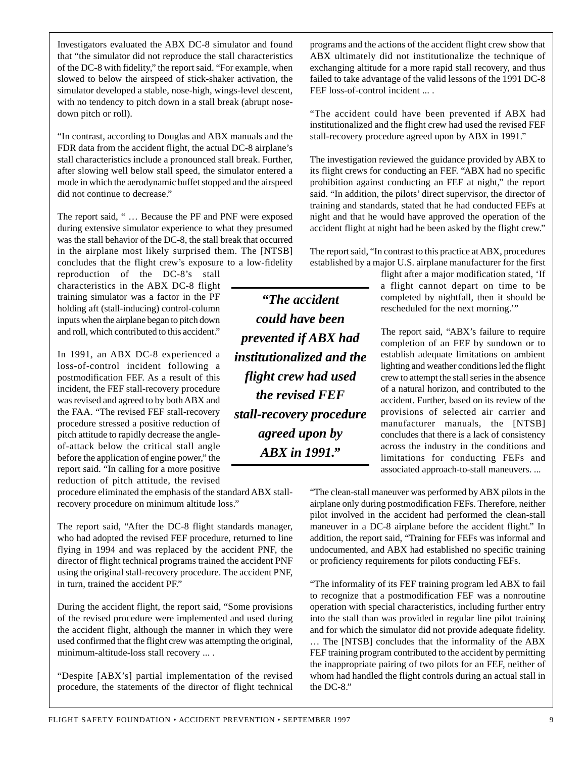Investigators evaluated the ABX DC-8 simulator and found that "the simulator did not reproduce the stall characteristics of the DC-8 with fidelity," the report said. "For example, when slowed to below the airspeed of stick-shaker activation, the simulator developed a stable, nose-high, wings-level descent, with no tendency to pitch down in a stall break (abrupt nosedown pitch or roll).

"In contrast, according to Douglas and ABX manuals and the FDR data from the accident flight, the actual DC-8 airplane's stall characteristics include a pronounced stall break. Further, after slowing well below stall speed, the simulator entered a mode in which the aerodynamic buffet stopped and the airspeed did not continue to decrease."

The report said, " … Because the PF and PNF were exposed during extensive simulator experience to what they presumed was the stall behavior of the DC-8, the stall break that occurred in the airplane most likely surprised them. The [NTSB] concludes that the flight crew's exposure to a low-fidelity

reproduction of the DC-8's stall characteristics in the ABX DC-8 flight training simulator was a factor in the PF holding aft (stall-inducing) control-column inputs when the airplane began to pitch down and roll, which contributed to this accident."

In 1991, an ABX DC-8 experienced a loss-of-control incident following a postmodification FEF. As a result of this incident, the FEF stall-recovery procedure was revised and agreed to by both ABX and the FAA. "The revised FEF stall-recovery procedure stressed a positive reduction of pitch attitude to rapidly decrease the angleof-attack below the critical stall angle before the application of engine power," the report said. "In calling for a more positive reduction of pitch attitude, the revised

procedure eliminated the emphasis of the standard ABX stallrecovery procedure on minimum altitude loss."

The report said, "After the DC-8 flight standards manager, who had adopted the revised FEF procedure, returned to line flying in 1994 and was replaced by the accident PNF, the director of flight technical programs trained the accident PNF using the original stall-recovery procedure. The accident PNF, in turn, trained the accident PF."

During the accident flight, the report said, "Some provisions of the revised procedure were implemented and used during the accident flight, although the manner in which they were used confirmed that the flight crew was attempting the original, minimum-altitude-loss stall recovery ... .

"Despite [ABX's] partial implementation of the revised procedure, the statements of the director of flight technical programs and the actions of the accident flight crew show that ABX ultimately did not institutionalize the technique of exchanging altitude for a more rapid stall recovery, and thus failed to take advantage of the valid lessons of the 1991 DC-8 FEF loss-of-control incident ... .

"The accident could have been prevented if ABX had institutionalized and the flight crew had used the revised FEF stall-recovery procedure agreed upon by ABX in 1991."

The investigation reviewed the guidance provided by ABX to its flight crews for conducting an FEF. "ABX had no specific prohibition against conducting an FEF at night," the report said. "In addition, the pilots' direct supervisor, the director of training and standards, stated that he had conducted FEFs at night and that he would have approved the operation of the accident flight at night had he been asked by the flight crew."

The report said, "In contrast to this practice at ABX, procedures established by a major U.S. airplane manufacturer for the first

> flight after a major modification stated, 'If a flight cannot depart on time to be completed by nightfall, then it should be rescheduled for the next morning.'"

> The report said, "ABX's failure to require completion of an FEF by sundown or to establish adequate limitations on ambient lighting and weather conditions led the flight crew to attempt the stall series in the absence of a natural horizon, and contributed to the accident. Further, based on its review of the provisions of selected air carrier and manufacturer manuals, the [NTSB] concludes that there is a lack of consistency across the industry in the conditions and limitations for conducting FEFs and associated approach-to-stall maneuvers. ...

"The clean-stall maneuver was performed by ABX pilots in the airplane only during postmodification FEFs. Therefore, neither pilot involved in the accident had performed the clean-stall maneuver in a DC-8 airplane before the accident flight." In addition, the report said, "Training for FEFs was informal and undocumented, and ABX had established no specific training or proficiency requirements for pilots conducting FEFs.

"The informality of its FEF training program led ABX to fail to recognize that a postmodification FEF was a nonroutine operation with special characteristics, including further entry into the stall than was provided in regular line pilot training and for which the simulator did not provide adequate fidelity. … The [NTSB] concludes that the informality of the ABX FEF training program contributed to the accident by permitting the inappropriate pairing of two pilots for an FEF, neither of whom had handled the flight controls during an actual stall in the DC-8."

*stall-recovery procedure agreed upon by ABX in 1991."*

*"The accident*

*could have been*

*prevented if ABX had institutionalized and the*

*flight crew had used the revised FEF*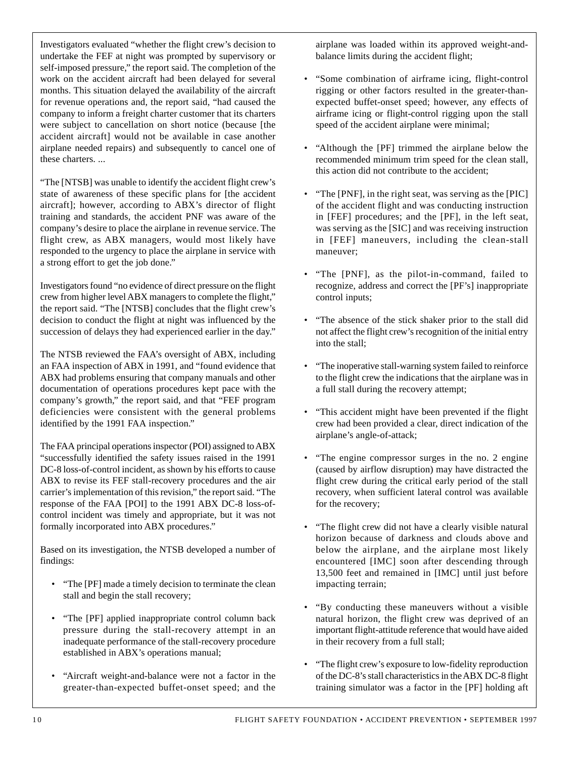Investigators evaluated "whether the flight crew's decision to undertake the FEF at night was prompted by supervisory or self-imposed pressure," the report said. The completion of the work on the accident aircraft had been delayed for several months. This situation delayed the availability of the aircraft for revenue operations and, the report said, "had caused the company to inform a freight charter customer that its charters were subject to cancellation on short notice (because [the accident aircraft] would not be available in case another airplane needed repairs) and subsequently to cancel one of these charters. ...

"The [NTSB] was unable to identify the accident flight crew's state of awareness of these specific plans for [the accident aircraft]; however, according to ABX's director of flight training and standards, the accident PNF was aware of the company's desire to place the airplane in revenue service. The flight crew, as ABX managers, would most likely have responded to the urgency to place the airplane in service with a strong effort to get the job done."

Investigators found "no evidence of direct pressure on the flight crew from higher level ABX managers to complete the flight," the report said. "The [NTSB] concludes that the flight crew's decision to conduct the flight at night was influenced by the succession of delays they had experienced earlier in the day."

The NTSB reviewed the FAA's oversight of ABX, including an FAA inspection of ABX in 1991, and "found evidence that ABX had problems ensuring that company manuals and other documentation of operations procedures kept pace with the company's growth," the report said, and that "FEF program deficiencies were consistent with the general problems identified by the 1991 FAA inspection."

The FAA principal operations inspector (POI) assigned to ABX "successfully identified the safety issues raised in the 1991 DC-8 loss-of-control incident, as shown by his efforts to cause ABX to revise its FEF stall-recovery procedures and the air carrier's implementation of this revision," the report said. "The response of the FAA [POI] to the 1991 ABX DC-8 loss-ofcontrol incident was timely and appropriate, but it was not formally incorporated into ABX procedures."

Based on its investigation, the NTSB developed a number of findings:

- "The [PF] made a timely decision to terminate the clean stall and begin the stall recovery;
- "The [PF] applied inappropriate control column back pressure during the stall-recovery attempt in an inadequate performance of the stall-recovery procedure established in ABX's operations manual;
- "Aircraft weight-and-balance were not a factor in the greater-than-expected buffet-onset speed; and the

airplane was loaded within its approved weight-andbalance limits during the accident flight;

- "Some combination of airframe icing, flight-control rigging or other factors resulted in the greater-thanexpected buffet-onset speed; however, any effects of airframe icing or flight-control rigging upon the stall speed of the accident airplane were minimal;
- "Although the [PF] trimmed the airplane below the recommended minimum trim speed for the clean stall, this action did not contribute to the accident;
- "The [PNF], in the right seat, was serving as the [PIC] of the accident flight and was conducting instruction in [FEF] procedures; and the [PF], in the left seat, was serving as the [SIC] and was receiving instruction in [FEF] maneuvers, including the clean-stall maneuver;
- "The [PNF], as the pilot-in-command, failed to recognize, address and correct the [PF's] inappropriate control inputs;
- "The absence of the stick shaker prior to the stall did not affect the flight crew's recognition of the initial entry into the stall;
- "The inoperative stall-warning system failed to reinforce to the flight crew the indications that the airplane was in a full stall during the recovery attempt;
- "This accident might have been prevented if the flight crew had been provided a clear, direct indication of the airplane's angle-of-attack;
- "The engine compressor surges in the no. 2 engine (caused by airflow disruption) may have distracted the flight crew during the critical early period of the stall recovery, when sufficient lateral control was available for the recovery;
- "The flight crew did not have a clearly visible natural horizon because of darkness and clouds above and below the airplane, and the airplane most likely encountered [IMC] soon after descending through 13,500 feet and remained in [IMC] until just before impacting terrain;
- "By conducting these maneuvers without a visible natural horizon, the flight crew was deprived of an important flight-attitude reference that would have aided in their recovery from a full stall;
- "The flight crew's exposure to low-fidelity reproduction of the DC-8's stall characteristics in the ABX DC-8 flight training simulator was a factor in the [PF] holding aft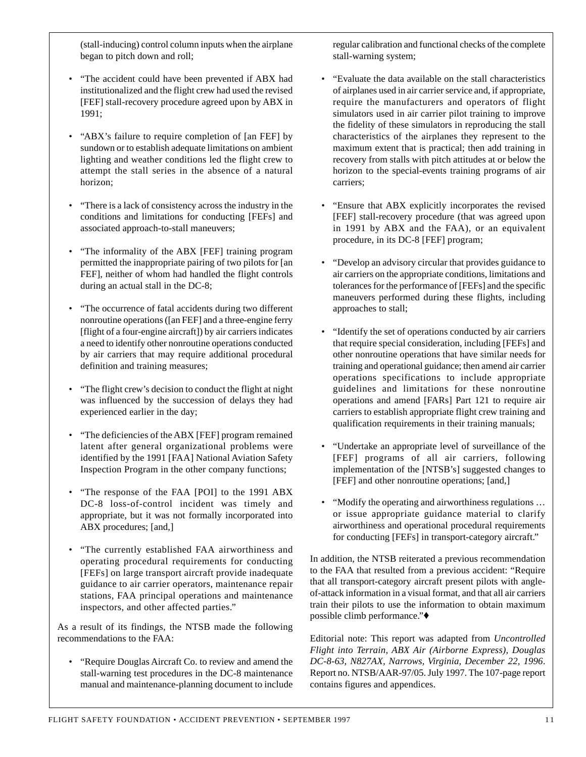(stall-inducing) control column inputs when the airplane began to pitch down and roll;

- "The accident could have been prevented if ABX had institutionalized and the flight crew had used the revised [FEF] stall-recovery procedure agreed upon by ABX in 1991;
- "ABX's failure to require completion of [an FEF] by sundown or to establish adequate limitations on ambient lighting and weather conditions led the flight crew to attempt the stall series in the absence of a natural horizon;
- "There is a lack of consistency across the industry in the conditions and limitations for conducting [FEFs] and associated approach-to-stall maneuvers;
- "The informality of the ABX [FEF] training program permitted the inappropriate pairing of two pilots for [an FEF], neither of whom had handled the flight controls during an actual stall in the DC-8;
- "The occurrence of fatal accidents during two different nonroutine operations ([an FEF] and a three-engine ferry [flight of a four-engine aircraft]) by air carriers indicates a need to identify other nonroutine operations conducted by air carriers that may require additional procedural definition and training measures;
- "The flight crew's decision to conduct the flight at night was influenced by the succession of delays they had experienced earlier in the day;
- "The deficiencies of the ABX [FEF] program remained latent after general organizational problems were identified by the 1991 [FAA] National Aviation Safety Inspection Program in the other company functions;
- "The response of the FAA [POI] to the 1991 ABX DC-8 loss-of-control incident was timely and appropriate, but it was not formally incorporated into ABX procedures; [and,]
- "The currently established FAA airworthiness and operating procedural requirements for conducting [FEFs] on large transport aircraft provide inadequate guidance to air carrier operators, maintenance repair stations, FAA principal operations and maintenance inspectors, and other affected parties."

As a result of its findings, the NTSB made the following recommendations to the FAA:

• "Require Douglas Aircraft Co. to review and amend the stall-warning test procedures in the DC-8 maintenance manual and maintenance-planning document to include

regular calibration and functional checks of the complete stall-warning system;

- "Evaluate the data available on the stall characteristics of airplanes used in air carrier service and, if appropriate, require the manufacturers and operators of flight simulators used in air carrier pilot training to improve the fidelity of these simulators in reproducing the stall characteristics of the airplanes they represent to the maximum extent that is practical; then add training in recovery from stalls with pitch attitudes at or below the horizon to the special-events training programs of air carriers;
- "Ensure that ABX explicitly incorporates the revised [FEF] stall-recovery procedure (that was agreed upon in 1991 by ABX and the FAA), or an equivalent procedure, in its DC-8 [FEF] program;
- "Develop an advisory circular that provides guidance to air carriers on the appropriate conditions, limitations and tolerances for the performance of [FEFs] and the specific maneuvers performed during these flights, including approaches to stall;
- "Identify the set of operations conducted by air carriers that require special consideration, including [FEFs] and other nonroutine operations that have similar needs for training and operational guidance; then amend air carrier operations specifications to include appropriate guidelines and limitations for these nonroutine operations and amend [FARs] Part 121 to require air carriers to establish appropriate flight crew training and qualification requirements in their training manuals;
- "Undertake an appropriate level of surveillance of the [FEF] programs of all air carriers, following implementation of the [NTSB's] suggested changes to [FEF] and other nonroutine operations; [and,]
- "Modify the operating and airworthiness regulations … or issue appropriate guidance material to clarify airworthiness and operational procedural requirements for conducting [FEFs] in transport-category aircraft."

In addition, the NTSB reiterated a previous recommendation to the FAA that resulted from a previous accident: "Require that all transport-category aircraft present pilots with angleof-attack information in a visual format, and that all air carriers train their pilots to use the information to obtain maximum possible climb performance."♦

Editorial note: This report was adapted from *Uncontrolled Flight into Terrain, ABX Air (Airborne Express), Douglas DC-8-63, N827AX, Narrows, Virginia, December 22, 1996*. Report no. NTSB/AAR-97/05. July 1997. The 107-page report contains figures and appendices.